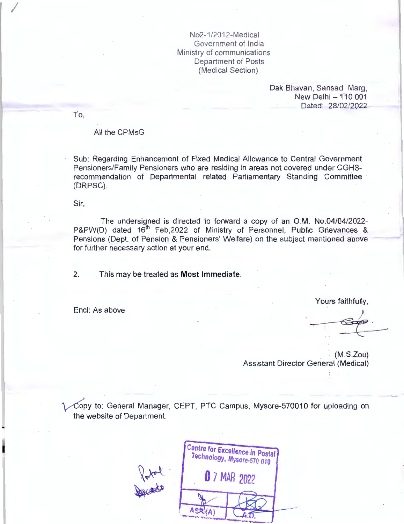No2-1/2012-Medical Government of India Ministry of communications Department of Posts (Medical Section)

> Dak Bhavan, Sansad Marg, New Delhi - 110 001 Dated: 28/02/2022

To,

*I* 

## All the CPMsG

Sub: Regarding Enhancement of Fixed Medical Allowance to Central Government Pensioners/Family Pensioners who are residing in areas not covered under CGHSrecommendation of Departmental related Parliamentary Standing Committee (DRPSC).

Sir,

The undersigned is directed to forward a copy of an O.M. No.04/04/2022-P&PW(D) dated 16<sup>th</sup> Feb,2022 of Ministry of Personnel, Public Grievances & Pensions (Dept. of Pension & Pensioners' Welfare) on the subject mentioned above for further necessary action at your end.

2. This may be treated as **Most Immediate.** 

Encl: As above

Yours faithfully,

 $(M.S.Zou)$ Assistant Director General (Medical)

Copy to: General Manager, CEPT, PTC Campus, Mysore-570010 for uploading on the website of Department.